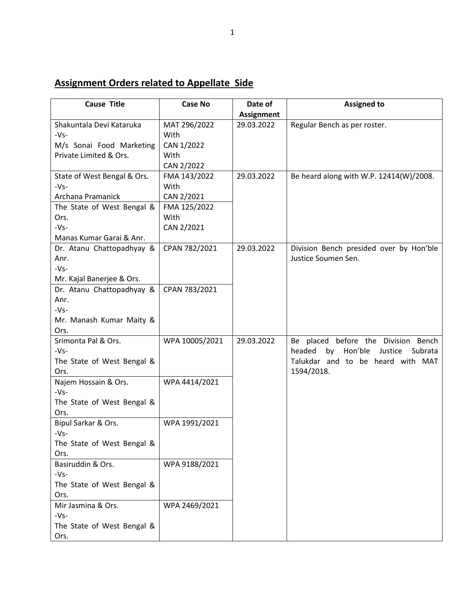## **Assignment Orders related to Appellate Side**

| <b>Cause Title</b>                   | <b>Case No</b> | Date of           | <b>Assigned to</b>                            |
|--------------------------------------|----------------|-------------------|-----------------------------------------------|
|                                      |                | <b>Assignment</b> |                                               |
| Shakuntala Devi Kataruka             | MAT 296/2022   | 29.03.2022        | Regular Bench as per roster.                  |
| $-Vs-$                               | With           |                   |                                               |
| M/s Sonai Food Marketing             | CAN 1/2022     |                   |                                               |
| Private Limited & Ors.               | With           |                   |                                               |
|                                      | CAN 2/2022     |                   |                                               |
| State of West Bengal & Ors.          | FMA 143/2022   | 29.03.2022        | Be heard along with W.P. 12414(W)/2008.       |
| $-Vs-$                               | With           |                   |                                               |
| Archana Pramanick                    | CAN 2/2021     |                   |                                               |
| The State of West Bengal &           | FMA 125/2022   |                   |                                               |
| Ors.                                 | With           |                   |                                               |
| $-Vs-$                               | CAN 2/2021     |                   |                                               |
| Manas Kumar Garai & Anr.             |                |                   |                                               |
| Dr. Atanu Chattopadhyay &            | CPAN 782/2021  | 29.03.2022        | Division Bench presided over by Hon'ble       |
| Anr.                                 |                |                   | Justice Soumen Sen.                           |
| $-Vs-$                               |                |                   |                                               |
| Mr. Kajal Banerjee & Ors.            |                |                   |                                               |
| Dr. Atanu Chattopadhyay &            | CPAN 783/2021  |                   |                                               |
| Anr.                                 |                |                   |                                               |
| $-Vs-$                               |                |                   |                                               |
| Mr. Manash Kumar Maity &             |                |                   |                                               |
| Ors.                                 |                |                   |                                               |
| Srimonta Pal & Ors.                  | WPA 10005/2021 | 29.03.2022        | Be placed before the Division Bench           |
| $-Vs-$                               |                |                   | by<br>Hon'ble<br>headed<br>Justice<br>Subrata |
| The State of West Bengal &           |                |                   | Talukdar and to be heard with MAT             |
| Ors.                                 |                |                   | 1594/2018.                                    |
| Najem Hossain & Ors.                 | WPA 4414/2021  |                   |                                               |
| $-Vs-$                               |                |                   |                                               |
| The State of West Bengal &           |                |                   |                                               |
| Ors.                                 |                |                   |                                               |
| Bipul Sarkar & Ors.                  | WPA 1991/2021  |                   |                                               |
| $-Vs-$<br>The State of West Bengal & |                |                   |                                               |
| Ors.                                 |                |                   |                                               |
| Basiruddin & Ors.                    | WPA 9188/2021  |                   |                                               |
| $-Vs-$                               |                |                   |                                               |
| The State of West Bengal &           |                |                   |                                               |
| Ors.                                 |                |                   |                                               |
| Mir Jasmina & Ors.                   | WPA 2469/2021  |                   |                                               |
| $-Vs-$                               |                |                   |                                               |
| The State of West Bengal &           |                |                   |                                               |
| Ors.                                 |                |                   |                                               |
|                                      |                |                   |                                               |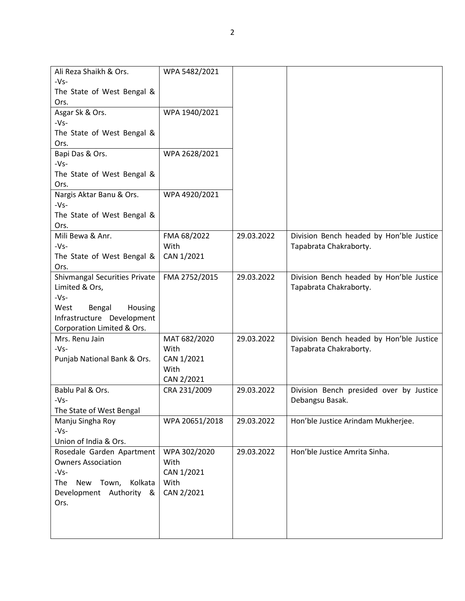| Ali Reza Shaikh & Ors.                | WPA 5482/2021  |            |                                          |
|---------------------------------------|----------------|------------|------------------------------------------|
| $-Vs-$                                |                |            |                                          |
| The State of West Bengal &            |                |            |                                          |
| Ors.                                  |                |            |                                          |
| Asgar Sk & Ors.                       | WPA 1940/2021  |            |                                          |
| $-Vs-$                                |                |            |                                          |
| The State of West Bengal &            |                |            |                                          |
| Ors.                                  |                |            |                                          |
| Bapi Das & Ors.                       | WPA 2628/2021  |            |                                          |
| $-Vs-$                                |                |            |                                          |
| The State of West Bengal &            |                |            |                                          |
| Ors.                                  |                |            |                                          |
| Nargis Aktar Banu & Ors.              | WPA 4920/2021  |            |                                          |
| $-Vs-$                                |                |            |                                          |
| The State of West Bengal &            |                |            |                                          |
| Ors.                                  |                |            |                                          |
| Mili Bewa & Anr.                      | FMA 68/2022    | 29.03.2022 | Division Bench headed by Hon'ble Justice |
| $-Vs-$                                | With           |            | Tapabrata Chakraborty.                   |
| The State of West Bengal &            | CAN 1/2021     |            |                                          |
| Ors.                                  |                |            |                                          |
| Shivmangal Securities Private         | FMA 2752/2015  | 29.03.2022 | Division Bench headed by Hon'ble Justice |
| Limited & Ors,                        |                |            | Tapabrata Chakraborty.                   |
| $-Vs-$                                |                |            |                                          |
| Bengal<br>Housing<br>West             |                |            |                                          |
| Infrastructure Development            |                |            |                                          |
| Corporation Limited & Ors.            |                |            |                                          |
| Mrs. Renu Jain                        | MAT 682/2020   | 29.03.2022 | Division Bench headed by Hon'ble Justice |
| $-Vs-$                                | With           |            | Tapabrata Chakraborty.                   |
| Punjab National Bank & Ors.           | CAN 1/2021     |            |                                          |
|                                       | With           |            |                                          |
|                                       | CAN 2/2021     |            |                                          |
| Bablu Pal & Ors.                      | CRA 231/2009   | 29.03.2022 | Division Bench presided over by Justice  |
| -Vs-                                  |                |            | Debangsu Basak.                          |
| The State of West Bengal              |                |            |                                          |
| Manju Singha Roy                      | WPA 20651/2018 | 29.03.2022 | Hon'ble Justice Arindam Mukherjee.       |
| $-Vs-$                                |                |            |                                          |
| Union of India & Ors.                 |                |            |                                          |
| Rosedale Garden Apartment             | WPA 302/2020   | 29.03.2022 | Hon'ble Justice Amrita Sinha.            |
| <b>Owners Association</b>             | With           |            |                                          |
| $-Vs-$                                | CAN 1/2021     |            |                                          |
| Town,<br>Kolkata<br>The<br><b>New</b> | With           |            |                                          |
| Development Authority &               | CAN 2/2021     |            |                                          |
| Ors.                                  |                |            |                                          |
|                                       |                |            |                                          |
|                                       |                |            |                                          |
|                                       |                |            |                                          |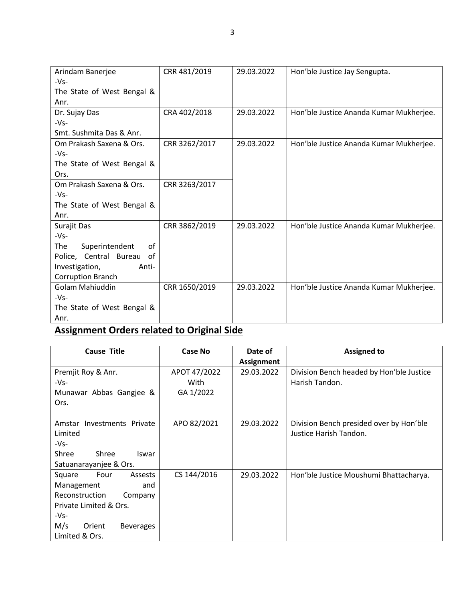| Arindam Banerjee             | CRR 481/2019  | 29.03.2022 | Hon'ble Justice Jay Sengupta.           |
|------------------------------|---------------|------------|-----------------------------------------|
| $-Vs-$                       |               |            |                                         |
| The State of West Bengal &   |               |            |                                         |
| Anr.                         |               |            |                                         |
| Dr. Sujay Das                | CRA 402/2018  | 29.03.2022 | Hon'ble Justice Ananda Kumar Mukherjee. |
| $-Vs-$                       |               |            |                                         |
| Smt. Sushmita Das & Anr.     |               |            |                                         |
| Om Prakash Saxena & Ors.     | CRR 3262/2017 | 29.03.2022 | Hon'ble Justice Ananda Kumar Mukherjee. |
| $-Vs-$                       |               |            |                                         |
| The State of West Bengal &   |               |            |                                         |
| Ors.                         |               |            |                                         |
| Om Prakash Saxena & Ors.     | CRR 3263/2017 |            |                                         |
| $-Vs-$                       |               |            |                                         |
| The State of West Bengal &   |               |            |                                         |
| Anr.                         |               |            |                                         |
| Surajit Das                  | CRR 3862/2019 | 29.03.2022 | Hon'ble Justice Ananda Kumar Mukherjee. |
| -Vs-                         |               |            |                                         |
| The<br>Superintendent<br>οf  |               |            |                                         |
| Police, Central Bureau<br>οf |               |            |                                         |
| Investigation,<br>Anti-      |               |            |                                         |
| Corruption Branch            |               |            |                                         |
| Golam Mahiuddin              | CRR 1650/2019 | 29.03.2022 | Hon'ble Justice Ananda Kumar Mukherjee. |
| $-Vs-$                       |               |            |                                         |
| The State of West Bengal &   |               |            |                                         |
| Anr.                         |               |            |                                         |

## **Assignment Orders related to Original Side**

| <b>Cause Title</b>                | <b>Case No</b> | Date of           | <b>Assigned to</b>                       |
|-----------------------------------|----------------|-------------------|------------------------------------------|
|                                   |                | <b>Assignment</b> |                                          |
| Premjit Roy & Anr.                | APOT 47/2022   | 29.03.2022        | Division Bench headed by Hon'ble Justice |
| -Vs-                              | With           |                   | Harish Tandon.                           |
| Munawar Abbas Gangjee &           | GA 1/2022      |                   |                                          |
| Ors.                              |                |                   |                                          |
|                                   |                |                   |                                          |
| Investments Private<br>Amstar     | APO 82/2021    | 29.03.2022        | Division Bench presided over by Hon'ble  |
| Limited                           |                |                   | Justice Harish Tandon.                   |
| -Vs-                              |                |                   |                                          |
| Shree<br>Shree<br>Iswar           |                |                   |                                          |
| Satuanarayanjee & Ors.            |                |                   |                                          |
| Four<br>Assests<br>Square         | CS 144/2016    | 29.03.2022        | Hon'ble Justice Moushumi Bhattacharya.   |
| Management<br>and                 |                |                   |                                          |
| Reconstruction<br>Company         |                |                   |                                          |
| Private Limited & Ors.            |                |                   |                                          |
| -Vs-                              |                |                   |                                          |
| M/s<br>Orient<br><b>Beverages</b> |                |                   |                                          |
| Limited & Ors.                    |                |                   |                                          |